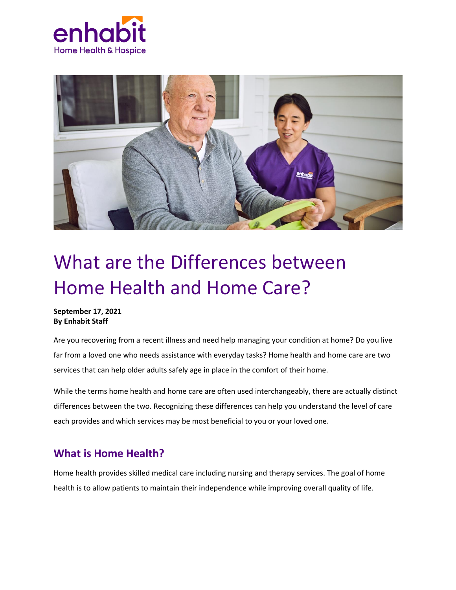



# What are the Differences between Home Health and Home Care?

#### **September 17, 2021 By Enhabit Staff**

Are you recovering from a recent illness and need help managing your condition at home? Do you live far from a loved one who needs assistance with everyday tasks? Home health and home care are two services that can help older adults safely age in place in the comfort of their home.

While the terms home health and home care are often used interchangeably, there are actually distinct differences between the two. Recognizing these differences can help you understand the level of care each provides and which services may be most beneficial to you or your loved one.

### **What is Home Health?**

Home health provides skilled medical care including nursing and therapy services. The goal of home health is to allow patients to maintain their independence while improving overall quality of life.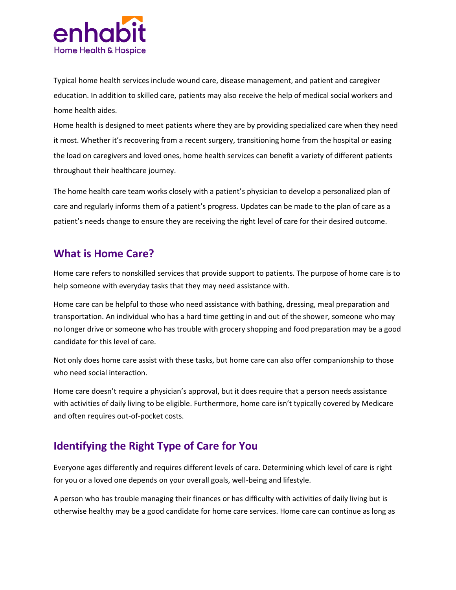

Typical home health services include wound care, disease management, and patient and caregiver education. In addition to skilled care, patients may also receive the help of medical social workers and home health aides.

Home health is designed to meet patients where they are by providing specialized care when they need it most. Whether it's recovering from a recent surgery, transitioning home from the hospital or easing the load on caregivers and loved ones, home health services can benefit a variety of different patients throughout their healthcare journey.

The home health care team works closely with a patient's physician to develop a personalized plan of care and regularly informs them of a patient's progress. Updates can be made to the plan of care as a patient's needs change to ensure they are receiving the right level of care for their desired outcome.

#### **What is Home Care?**

Home care refers to nonskilled services that provide support to patients. The purpose of home care is to help someone with everyday tasks that they may need assistance with.

Home care can be helpful to those who need assistance with bathing, dressing, meal preparation and transportation. An individual who has a hard time getting in and out of the shower, someone who may no longer drive or someone who has trouble with grocery shopping and food preparation may be a good candidate for this level of care.

Not only does home care assist with these tasks, but home care can also offer companionship to those who need social interaction.

Home care doesn't require a physician's approval, but it does require that a person needs assistance with activities of daily living to be eligible. Furthermore, home care isn't typically covered by Medicare and often requires out-of-pocket costs.

## **Identifying the Right Type of Care for You**

Everyone ages differently and requires different levels of care. Determining which level of care is right for you or a loved one depends on your overall goals, well-being and lifestyle.

A person who has trouble managing their finances or has difficulty with activities of daily living but is otherwise healthy may be a good candidate for home care services. Home care can continue as long as